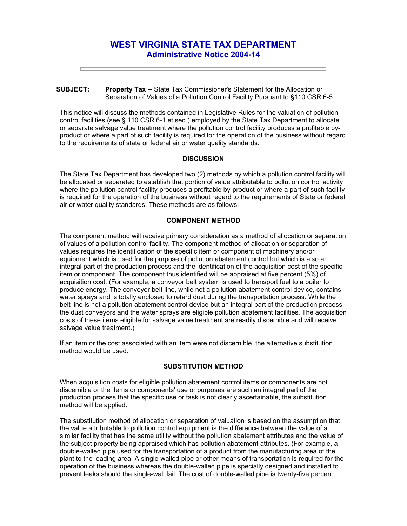# **WEST VIRGINIA STATE TAX DEPARTMENT Administrative Notice 2004-14**

#### **SUBJECT: Property Tax --** State Tax Commissioner's Statement for the Allocation or Separation of Values of a Pollution Control Facility Pursuant to §110 CSR 6-5.

This notice will discuss the methods contained in Legislative Rules for the valuation of pollution control facilities (see § 110 CSR 6-1 et seq.) employed by the State Tax Department to allocate or separate salvage value treatment where the pollution control facility produces a profitable byproduct or where a part of such facility is required for the operation of the business without regard to the requirements of state or federal air or water quality standards.

## **DISCUSSION**

The State Tax Department has developed two (2) methods by which a pollution control facility will be allocated or separated to establish that portion of value attributable to pollution control activity where the pollution control facility produces a profitable by-product or where a part of such facility is required for the operation of the business without regard to the requirements of State or federal air or water quality standards. These methods are as follows:

## **COMPONENT METHOD**

The component method will receive primary consideration as a method of allocation or separation of values of a pollution control facility. The component method of allocation or separation of values requires the identification of the specific item or component of machinery and/or equipment which is used for the purpose of pollution abatement control but which is also an integral part of the production process and the identification of the acquisition cost of the specific item or component. The component thus identified will be appraised at five percent (5%) of acquisition cost. (For example, a conveyor belt system is used to transport fuel to a boiler to produce energy. The conveyor belt line, while not a pollution abatement control device, contains water sprays and is totally enclosed to retard dust during the transportation process. While the belt line is not a pollution abatement control device but an integral part of the production process, the dust conveyors and the water sprays are eligible pollution abatement facilities. The acquisition costs of these items eligible for salvage value treatment are readily discernible and will receive salvage value treatment.)

If an item or the cost associated with an item were not discernible, the alternative substitution method would be used.

#### **SUBSTITUTION METHOD**

When acquisition costs for eligible pollution abatement control items or components are not discernible or the items or components' use or purposes are such an integral part of the production process that the specific use or task is not clearly ascertainable, the substitution method will be applied.

The substitution method of allocation or separation of valuation is based on the assumption that the value attributable to pollution control equipment is the difference between the value of a similar facility that has the same utility without the pollution abatement attributes and the value of the subject property being appraised which has pollution abatement attributes. (For example, a double-walled pipe used for the transportation of a product from the manufacturing area of the plant to the loading area. A single-walled pipe or other means of transportation is required for the operation of the business whereas the double-walled pipe is specially designed and installed to prevent leaks should the single-wall fail. The cost of double-walled pipe is twenty-five percent